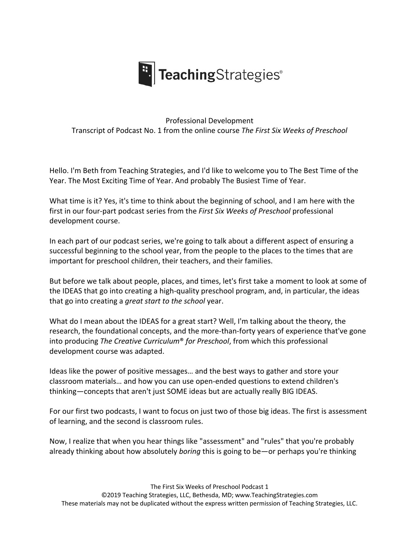

## Professional Development Transcript of Podcast No. 1 from the online course *The First Six Weeks of Preschool*

Hello. I'm Beth from Teaching Strategies, and I'd like to welcome you to The Best Time of the Year. The Most Exciting Time of Year. And probably The Busiest Time of Year.

What time is it? Yes, it's time to think about the beginning of school, and I am here with the first in our four-part podcast series from the *First Six Weeks of Preschool* professional development course.

In each part of our podcast series, we're going to talk about a different aspect of ensuring a successful beginning to the school year, from the people to the places to the times that are important for preschool children, their teachers, and their families.

But before we talk about people, places, and times, let's first take a moment to look at some of the IDEAS that go into creating a high-quality preschool program, and, in particular, the ideas that go into creating a *great start to the school* year.

What do I mean about the IDEAS for a great start? Well, I'm talking about the theory, the research, the foundational concepts, and the more-than-forty years of experience that've gone into producing *The Creative Curriculum*® *for Preschool*, from which this professional development course was adapted.

Ideas like the power of positive messages… and the best ways to gather and store your classroom materials… and how you can use open-ended questions to extend children's thinking—concepts that aren't just SOME ideas but are actually really BIG IDEAS.

For our first two podcasts, I want to focus on just two of those big ideas. The first is assessment of learning, and the second is classroom rules.

Now, I realize that when you hear things like "assessment" and "rules" that you're probably already thinking about how absolutely *boring* this is going to be—or perhaps you're thinking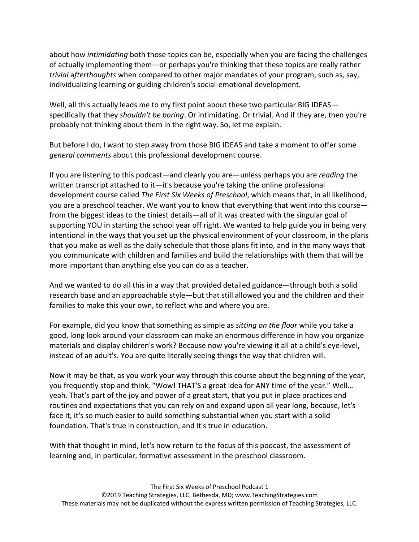about how *intimidating* both those topics can be, especially when you are facing the challenges of actually implementing them—or perhaps you're thinking that these topics are really rather *trivial* a*fterthoughts* when compared to other major mandates of your program, such as, say, individualizing learning or guiding children's social-emotional development.

Well, all this actually leads me to my first point about these two particular BIG IDEAS specifically that they *shouldn't be boring*. Or intimidating. Or trivial. And if they are, then you're probably not thinking about them in the right way. So, let me explain.

But before I do, I want to step away from those BIG IDEAS and take a moment to offer some *general comments* about this professional development course.

If you are listening to this podcast—and clearly you are—unless perhaps you are *reading* the written transcript attached to it—it's because you're taking the online professional development course called *The First Six Weeks of Preschool*, which means that, in all likelihood, you are a preschool teacher. We want you to know that everything that went into this course from the biggest ideas to the tiniest details—all of it was created with the singular goal of supporting YOU in starting the school year off right. We wanted to help guide you in being very intentional in the ways that you set up the physical environment of your classroom, in the plans that you make as well as the daily schedule that those plans fit into, and in the many ways that you communicate with children and families and build the relationships with them that will be more important than anything else you can do as a teacher.

And we wanted to do all this in a way that provided detailed guidance—through both a solid research base and an approachable style—but that still allowed you and the children and their families to make this your own, to reflect who and where you are.

For example, did you know that something as simple as *sitting on the floor* while you take a good, long look around your classroom can make an enormous difference in how you organize materials and display children's work? Because now you're viewing it all at a child's eye-level, instead of an adult's. You are quite literally seeing things the way that children will.

Now it may be that, as you work your way through this course about the beginning of the year, you frequently stop and think, "Wow! THAT'S a great idea for ANY time of the year." Well… yeah. That's part of the joy and power of a great start, that you put in place practices and routines and expectations that you can rely on and expand upon all year long, because, let's face it, it's so much easier to build something substantial when you start with a solid foundation. That's true in construction, and it's true in education.

With that thought in mind, let's now return to the focus of this podcast, the assessment of learning and, in particular, formative assessment in the preschool classroom.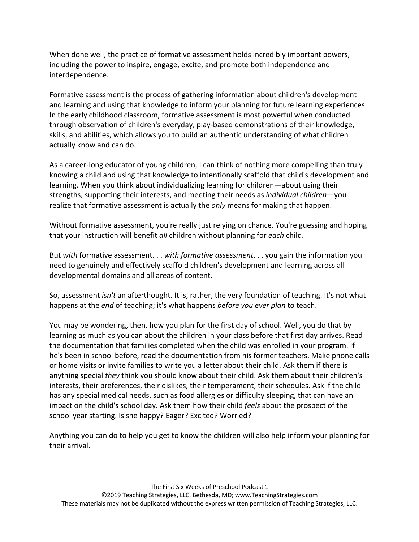When done well, the practice of formative assessment holds incredibly important powers, including the power to inspire, engage, excite, and promote both independence and interdependence.

Formative assessment is the process of gathering information about children's development and learning and using that knowledge to inform your planning for future learning experiences. In the early childhood classroom, formative assessment is most powerful when conducted through observation of children's everyday, play-based demonstrations of their knowledge, skills, and abilities, which allows you to build an authentic understanding of what children actually know and can do.

As a career-long educator of young children, I can think of nothing more compelling than truly knowing a child and using that knowledge to intentionally scaffold that child's development and learning. When you think about individualizing learning for children—about using their strengths, supporting their interests, and meeting their needs as *individual children*—you realize that formative assessment is actually the *only* means for making that happen.

Without formative assessment, you're really just relying on chance. You're guessing and hoping that your instruction will benefit *all* children without planning for *each* child.

But *with* formative assessment. . . *with formative assessment*. . . you gain the information you need to genuinely and effectively scaffold children's development and learning across all developmental domains and all areas of content.

So, assessment *isn't* an afterthought. It is, rather, the very foundation of teaching. It's not what happens at the *end* of teaching; it's what happens *before you ever plan* to teach.

You may be wondering, then, how you plan for the first day of school. Well, you do that by learning as much as you can about the children in your class before that first day arrives. Read the documentation that families completed when the child was enrolled in your program. If he's been in school before, read the documentation from his former teachers. Make phone calls or home visits or invite families to write you a letter about their child. Ask them if there is anything special *they* think you should know about their child. Ask them about their children's interests, their preferences, their dislikes, their temperament, their schedules. Ask if the child has any special medical needs, such as food allergies or difficulty sleeping, that can have an impact on the child's school day. Ask them how their child *feels* about the prospect of the school year starting. Is she happy? Eager? Excited? Worried?

Anything you can do to help you get to know the children will also help inform your planning for their arrival.